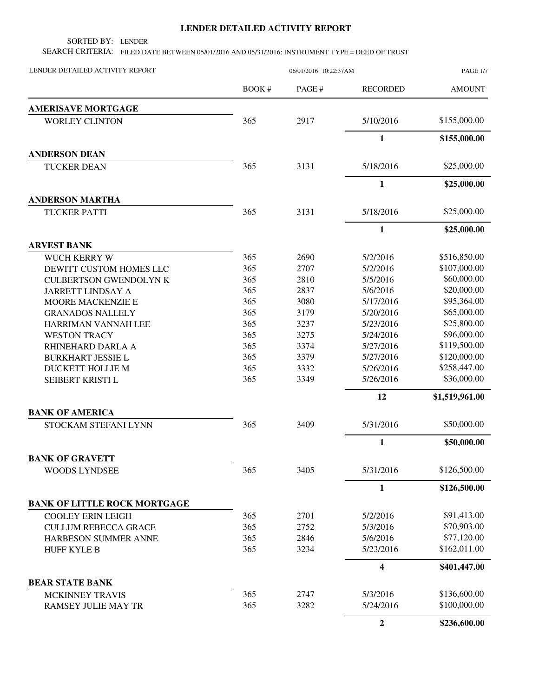## **LENDER DETAILED ACTIVITY REPORT**

SORTED BY: LENDER

SEARCH CRITERIA: FILED DATE BETWEEN 05/01/2016 AND 05/31/2016; INSTRUMENT TYPE = DEED OF TRUST

| LENDER DETAILED ACTIVITY REPORT     | 06/01/2016 10:22:37AM |        |                  | <b>PAGE 1/7</b> |  |
|-------------------------------------|-----------------------|--------|------------------|-----------------|--|
|                                     | BOOK#                 | PAGE # | <b>RECORDED</b>  | <b>AMOUNT</b>   |  |
| <b>AMERISAVE MORTGAGE</b>           |                       |        |                  |                 |  |
| <b>WORLEY CLINTON</b>               | 365                   | 2917   | 5/10/2016        | \$155,000.00    |  |
|                                     |                       |        | $\mathbf{1}$     | \$155,000.00    |  |
| <b>ANDERSON DEAN</b>                |                       |        |                  |                 |  |
| <b>TUCKER DEAN</b>                  | 365                   | 3131   | 5/18/2016        | \$25,000.00     |  |
|                                     |                       |        | $\mathbf{1}$     | \$25,000.00     |  |
| <b>ANDERSON MARTHA</b>              |                       |        |                  |                 |  |
| <b>TUCKER PATTI</b>                 | 365                   | 3131   | 5/18/2016        | \$25,000.00     |  |
|                                     |                       |        | $\mathbf{1}$     | \$25,000.00     |  |
| <b>ARVEST BANK</b>                  |                       |        |                  |                 |  |
| <b>WUCH KERRY W</b>                 | 365                   | 2690   | 5/2/2016         | \$516,850.00    |  |
| DEWITT CUSTOM HOMES LLC             | 365                   | 2707   | 5/2/2016         | \$107,000.00    |  |
| <b>CULBERTSON GWENDOLYN K</b>       | 365                   | 2810   | 5/5/2016         | \$60,000.00     |  |
| <b>JARRETT LINDSAY A</b>            | 365                   | 2837   | 5/6/2016         | \$20,000.00     |  |
| MOORE MACKENZIE E                   | 365                   | 3080   | 5/17/2016        | \$95,364.00     |  |
| <b>GRANADOS NALLELY</b>             | 365                   | 3179   | 5/20/2016        | \$65,000.00     |  |
| HARRIMAN VANNAH LEE                 | 365                   | 3237   | 5/23/2016        | \$25,800.00     |  |
| <b>WESTON TRACY</b>                 | 365                   | 3275   | 5/24/2016        | \$96,000.00     |  |
| RHINEHARD DARLA A                   | 365                   | 3374   | 5/27/2016        | \$119,500.00    |  |
| <b>BURKHART JESSIE L</b>            | 365                   | 3379   | 5/27/2016        | \$120,000.00    |  |
| DUCKETT HOLLIE M                    | 365                   | 3332   | 5/26/2016        | \$258,447.00    |  |
| SEIBERT KRISTI L                    | 365                   | 3349   | 5/26/2016        | \$36,000.00     |  |
|                                     |                       |        | 12               | \$1,519,961.00  |  |
| <b>BANK OF AMERICA</b>              |                       |        |                  |                 |  |
| STOCKAM STEFANI LYNN                | 365                   | 3409   | 5/31/2016        | \$50,000.00     |  |
|                                     |                       |        | $\mathbf{1}$     | \$50,000.00     |  |
| <b>BANK OF GRAVETT</b>              |                       |        |                  |                 |  |
| <b>WOODS LYNDSEE</b>                | 365                   | 3405   | 5/31/2016        | \$126,500.00    |  |
|                                     |                       |        | $\mathbf{1}$     | \$126,500.00    |  |
| <b>BANK OF LITTLE ROCK MORTGAGE</b> |                       |        |                  |                 |  |
| <b>COOLEY ERIN LEIGH</b>            | 365                   | 2701   | 5/2/2016         | \$91,413.00     |  |
| <b>CULLUM REBECCA GRACE</b>         | 365                   | 2752   | 5/3/2016         | \$70,903.00     |  |
| HARBESON SUMMER ANNE                | 365                   | 2846   | 5/6/2016         | \$77,120.00     |  |
| <b>HUFF KYLE B</b>                  | 365                   | 3234   | 5/23/2016        | \$162,011.00    |  |
|                                     |                       |        | 4                | \$401,447.00    |  |
| <b>BEAR STATE BANK</b>              |                       |        |                  |                 |  |
| MCKINNEY TRAVIS                     | 365                   | 2747   | 5/3/2016         | \$136,600.00    |  |
| <b>RAMSEY JULIE MAY TR</b>          | 365                   | 3282   | 5/24/2016        | \$100,000.00    |  |
|                                     |                       |        | $\boldsymbol{2}$ | \$236,600.00    |  |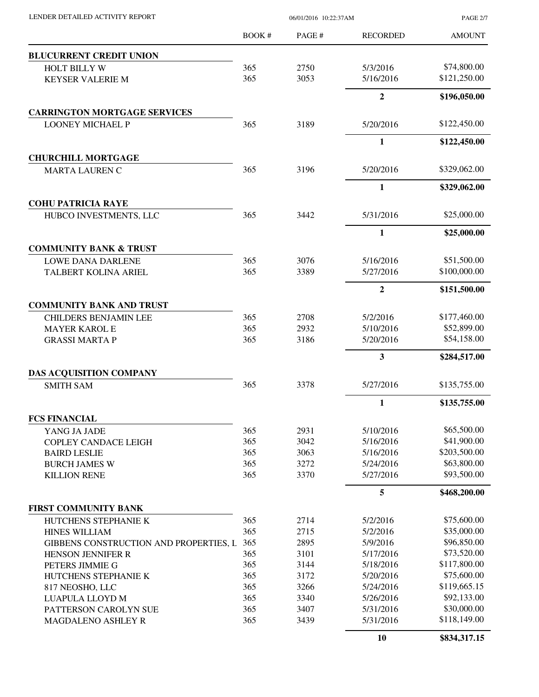| LENDER DETAILED ACTIVITY REPORT |  |
|---------------------------------|--|

06/01/2016 10:22:37AM

PAGE 2/7

|                                             | <b>BOOK#</b> | PAGE#        | <b>RECORDED</b>         | <b>AMOUNT</b>              |
|---------------------------------------------|--------------|--------------|-------------------------|----------------------------|
| <b>BLUCURRENT CREDIT UNION</b>              |              |              |                         |                            |
| <b>HOLT BILLY W</b>                         | 365          | 2750         | 5/3/2016                | \$74,800.00                |
| <b>KEYSER VALERIE M</b>                     | 365          | 3053         | 5/16/2016               | \$121,250.00               |
|                                             |              |              | $\overline{2}$          | \$196,050.00               |
| <b>CARRINGTON MORTGAGE SERVICES</b>         |              |              |                         |                            |
| <b>LOONEY MICHAEL P</b>                     | 365          | 3189         | 5/20/2016               | \$122,450.00               |
|                                             |              |              | $\mathbf{1}$            | \$122,450.00               |
| <b>CHURCHILL MORTGAGE</b>                   |              |              |                         |                            |
| <b>MARTA LAUREN C</b>                       | 365          | 3196         | 5/20/2016               | \$329,062.00               |
|                                             |              |              | 1                       | \$329,062.00               |
| <b>COHU PATRICIA RAYE</b>                   |              |              |                         |                            |
| HUBCO INVESTMENTS, LLC                      | 365          | 3442         | 5/31/2016               | \$25,000.00                |
|                                             |              |              | $\mathbf{1}$            | \$25,000.00                |
| <b>COMMUNITY BANK &amp; TRUST</b>           |              |              |                         |                            |
| <b>LOWE DANA DARLENE</b>                    | 365          | 3076         | 5/16/2016               | \$51,500.00                |
| <b>TALBERT KOLINA ARIEL</b>                 | 365          | 3389         | 5/27/2016               | \$100,000.00               |
|                                             |              |              | $\overline{2}$          | \$151,500.00               |
| <b>COMMUNITY BANK AND TRUST</b>             |              |              |                         |                            |
| <b>CHILDERS BENJAMIN LEE</b>                | 365          | 2708         | 5/2/2016                | \$177,460.00               |
| <b>MAYER KAROL E</b>                        | 365          | 2932         | 5/10/2016               | \$52,899.00                |
| <b>GRASSI MARTA P</b>                       | 365          | 3186         | 5/20/2016               | \$54,158.00                |
|                                             |              |              | $\overline{\mathbf{3}}$ | \$284,517.00               |
| DAS ACQUISITION COMPANY                     |              |              |                         |                            |
| <b>SMITH SAM</b>                            | 365          | 3378         | 5/27/2016               | \$135,755.00               |
|                                             |              |              | $\mathbf{1}$            | \$135,755.00               |
| <b>FCS FINANCIAL</b>                        |              |              |                         |                            |
| YANG JA JADE                                | 365          | 2931         | 5/10/2016               | \$65,500.00                |
| <b>COPLEY CANDACE LEIGH</b>                 | 365          | 3042         | 5/16/2016               | \$41,900.00                |
| <b>BAIRD LESLIE</b>                         | 365          | 3063         | 5/16/2016               | \$203,500.00               |
| <b>BURCH JAMES W</b><br><b>KILLION RENE</b> | 365<br>365   | 3272<br>3370 | 5/24/2016<br>5/27/2016  | \$63,800.00<br>\$93,500.00 |
|                                             |              |              | 5                       | \$468,200.00               |
| <b>FIRST COMMUNITY BANK</b>                 |              |              |                         |                            |
| HUTCHENS STEPHANIE K                        | 365          | 2714         | 5/2/2016                | \$75,600.00                |
| <b>HINES WILLIAM</b>                        | 365          | 2715         | 5/2/2016                | \$35,000.00                |
| GIBBENS CONSTRUCTION AND PROPERTIES, L      | 365          | 2895         | 5/9/2016                | \$96,850.00                |
| HENSON JENNIFER R                           | 365          | 3101         | 5/17/2016               | \$73,520.00                |
| PETERS JIMMIE G                             | 365          | 3144         | 5/18/2016               | \$117,800.00               |
| HUTCHENS STEPHANIE K                        | 365          | 3172         | 5/20/2016               | \$75,600.00                |
| 817 NEOSHO, LLC                             | 365          | 3266         | 5/24/2016               | \$119,665.15               |
| LUAPULA LLOYD M                             | 365          | 3340         | 5/26/2016               | \$92,133.00                |
| PATTERSON CAROLYN SUE                       | 365          | 3407         | 5/31/2016               | \$30,000.00                |
| <b>MAGDALENO ASHLEY R</b>                   | 365          | 3439         | 5/31/2016               | \$118,149.00               |
|                                             |              |              | 10                      | \$834,317.15               |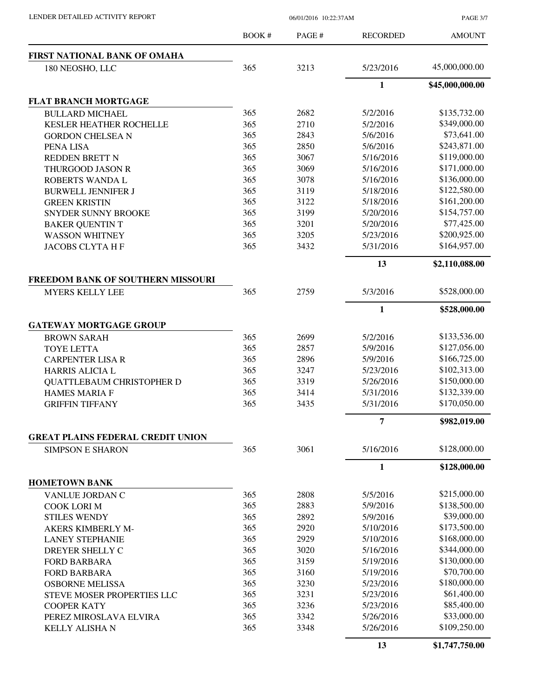PAGE 3/7

|                                                             | <b>BOOK#</b> | PAGE# | <b>RECORDED</b> | <b>AMOUNT</b>   |
|-------------------------------------------------------------|--------------|-------|-----------------|-----------------|
| FIRST NATIONAL BANK OF OMAHA                                |              |       |                 |                 |
| 180 NEOSHO, LLC                                             | 365          | 3213  | 5/23/2016       | 45,000,000.00   |
|                                                             |              |       | $\mathbf{1}$    | \$45,000,000.00 |
| <b>FLAT BRANCH MORTGAGE</b>                                 |              |       |                 |                 |
| <b>BULLARD MICHAEL</b>                                      | 365          | 2682  | 5/2/2016        | \$135,732.00    |
| <b>KESLER HEATHER ROCHELLE</b>                              | 365          | 2710  | 5/2/2016        | \$349,000.00    |
| <b>GORDON CHELSEA N</b>                                     | 365          | 2843  | 5/6/2016        | \$73,641.00     |
| PENA LISA                                                   | 365          | 2850  | 5/6/2016        | \$243,871.00    |
| <b>REDDEN BRETT N</b>                                       | 365          | 3067  | 5/16/2016       | \$119,000.00    |
| THURGOOD JASON R                                            | 365          | 3069  | 5/16/2016       | \$171,000.00    |
| ROBERTS WANDA L                                             | 365          | 3078  | 5/16/2016       | \$136,000.00    |
| <b>BURWELL JENNIFER J</b>                                   | 365          | 3119  | 5/18/2016       | \$122,580.00    |
| <b>GREEN KRISTIN</b>                                        | 365          | 3122  | 5/18/2016       | \$161,200.00    |
| <b>SNYDER SUNNY BROOKE</b>                                  | 365          | 3199  | 5/20/2016       | \$154,757.00    |
| <b>BAKER QUENTIN T</b>                                      | 365          | 3201  | 5/20/2016       | \$77,425.00     |
| <b>WASSON WHITNEY</b>                                       | 365          | 3205  | 5/23/2016       | \$200,925.00    |
| <b>JACOBS CLYTA H F</b>                                     | 365          | 3432  | 5/31/2016       | \$164,957.00    |
|                                                             |              |       | 13              | \$2,110,088.00  |
|                                                             |              |       |                 |                 |
| FREEDOM BANK OF SOUTHERN MISSOURI<br><b>MYERS KELLY LEE</b> | 365          | 2759  | 5/3/2016        | \$528,000.00    |
|                                                             |              |       | $\mathbf{1}$    | \$528,000.00    |
| <b>GATEWAY MORTGAGE GROUP</b>                               |              |       |                 |                 |
| <b>BROWN SARAH</b>                                          | 365          | 2699  | 5/2/2016        | \$133,536.00    |
| <b>TOYE LETTA</b>                                           | 365          | 2857  | 5/9/2016        | \$127,056.00    |
| <b>CARPENTER LISA R</b>                                     | 365          | 2896  | 5/9/2016        | \$166,725.00    |
| <b>HARRIS ALICIA L</b>                                      | 365          | 3247  | 5/23/2016       | \$102,313.00    |
| <b>QUATTLEBAUM CHRISTOPHER D</b>                            | 365          | 3319  | 5/26/2016       | \$150,000.00    |
| <b>HAMES MARIA F</b>                                        | 365          | 3414  | 5/31/2016       | \$132,339.00    |
| <b>GRIFFIN TIFFANY</b>                                      | 365          | 3435  | 5/31/2016       | \$170,050.00    |
|                                                             |              |       |                 |                 |
| <b>GREAT PLAINS FEDERAL CREDIT UNION</b>                    |              |       | 7               | \$982,019.00    |
| <b>SIMPSON E SHARON</b>                                     | 365          | 3061  | 5/16/2016       | \$128,000.00    |
|                                                             |              |       | $\mathbf{1}$    | \$128,000.00    |
| <b>HOMETOWN BANK</b>                                        |              |       |                 |                 |
| VANLUE JORDAN C                                             | 365          | 2808  | 5/5/2016        | \$215,000.00    |
| <b>COOK LORI M</b>                                          | 365          | 2883  | 5/9/2016        | \$138,500.00    |
| <b>STILES WENDY</b>                                         | 365          | 2892  | 5/9/2016        | \$39,000.00     |
| <b>AKERS KIMBERLY M-</b>                                    | 365          | 2920  | 5/10/2016       | \$173,500.00    |
| <b>LANEY STEPHANIE</b>                                      | 365          | 2929  | 5/10/2016       | \$168,000.00    |
| DREYER SHELLY C                                             | 365          | 3020  | 5/16/2016       | \$344,000.00    |
| <b>FORD BARBARA</b>                                         | 365          | 3159  | 5/19/2016       | \$130,000.00    |
| <b>FORD BARBARA</b>                                         | 365          | 3160  | 5/19/2016       | \$70,700.00     |
| <b>OSBORNE MELISSA</b>                                      | 365          | 3230  | 5/23/2016       | \$180,000.00    |
| <b>STEVE MOSER PROPERTIES LLC</b>                           | 365          | 3231  | 5/23/2016       | \$61,400.00     |
| <b>COOPER KATY</b>                                          | 365          | 3236  | 5/23/2016       | \$85,400.00     |
| PEREZ MIROSLAVA ELVIRA                                      | 365          | 3342  | 5/26/2016       | \$33,000.00     |
| <b>KELLY ALISHA N</b>                                       | 365          | 3348  | 5/26/2016       | \$109,250.00    |
|                                                             |              |       | 13              | \$1,747,750.00  |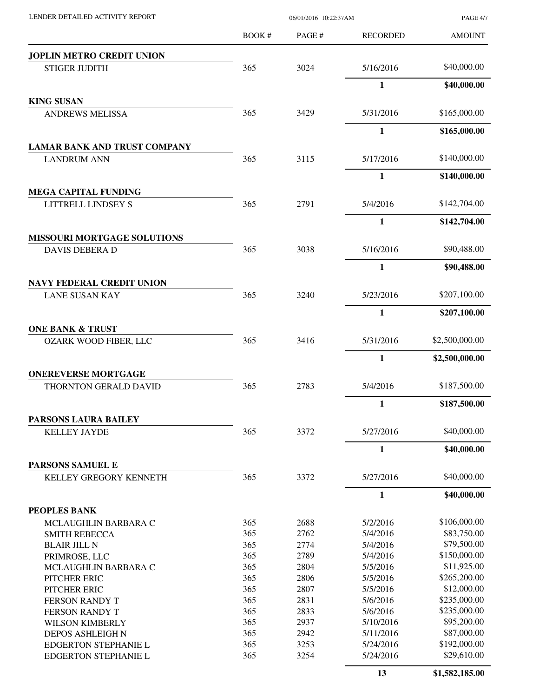| LENDER DETAILED ACTIVITY REPORT                           |              | 06/01/2016 10:22:37AM | <b>PAGE 4/7</b> |                |
|-----------------------------------------------------------|--------------|-----------------------|-----------------|----------------|
|                                                           | <b>BOOK#</b> | PAGE #                | <b>RECORDED</b> | <b>AMOUNT</b>  |
| JOPLIN METRO CREDIT UNION                                 |              |                       |                 |                |
| <b>STIGER JUDITH</b>                                      | 365          | 3024                  | 5/16/2016       | \$40,000.00    |
|                                                           |              |                       | 1               | \$40,000.00    |
| <b>KING SUSAN</b>                                         |              |                       |                 |                |
| <b>ANDREWS MELISSA</b>                                    | 365          | 3429                  | 5/31/2016       | \$165,000.00   |
|                                                           |              |                       | 1               | \$165,000.00   |
| <b>LAMAR BANK AND TRUST COMPANY</b><br><b>LANDRUM ANN</b> | 365          | 3115                  | 5/17/2016       | \$140,000.00   |
|                                                           |              |                       | 1               | \$140,000.00   |
| <b>MEGA CAPITAL FUNDING</b>                               |              |                       |                 |                |
| LITTRELL LINDSEY S                                        | 365          | 2791                  | 5/4/2016        | \$142,704.00   |
|                                                           |              |                       | 1               | \$142,704.00   |
| <b>MISSOURI MORTGAGE SOLUTIONS</b>                        |              |                       |                 |                |
| <b>DAVIS DEBERA D</b>                                     | 365          | 3038                  | 5/16/2016       | \$90,488.00    |
|                                                           |              |                       | 1               | \$90,488.00    |
| <b>NAVY FEDERAL CREDIT UNION</b><br><b>LANE SUSAN KAY</b> | 365          | 3240                  | 5/23/2016       | \$207,100.00   |
|                                                           |              |                       | 1               | \$207,100.00   |
| <b>ONE BANK &amp; TRUST</b>                               |              |                       |                 |                |
| <b>OZARK WOOD FIBER, LLC</b>                              | 365          | 3416                  | 5/31/2016       | \$2,500,000.00 |
|                                                           |              |                       | 1               | \$2,500,000.00 |
| <b>ONEREVERSE MORTGAGE</b>                                |              |                       |                 |                |
| <b>THORNTON GERALD DAVID</b>                              | 365          | 2783                  | 5/4/2016        | \$187,500.00   |
|                                                           |              |                       | 1               | \$187,500.00   |
| PARSONS LAURA BAILEY                                      |              |                       |                 |                |
| <b>KELLEY JAYDE</b>                                       | 365          | 3372                  | 5/27/2016       | \$40,000.00    |
|                                                           |              |                       | $\mathbf{1}$    | \$40,000.00    |
| PARSONS SAMUEL E<br>KELLEY GREGORY KENNETH                | 365          | 3372                  | 5/27/2016       | \$40,000.00    |
|                                                           |              |                       | $\mathbf{1}$    | \$40,000.00    |
| PEOPLES BANK                                              |              |                       |                 |                |
| MCLAUGHLIN BARBARA C                                      | 365          | 2688                  | 5/2/2016        | \$106,000.00   |
| <b>SMITH REBECCA</b>                                      | 365          | 2762                  | 5/4/2016        | \$83,750.00    |
| <b>BLAIR JILL N</b>                                       | 365          | 2774                  | 5/4/2016        | \$79,500.00    |
| PRIMROSE, LLC                                             | 365          | 2789                  | 5/4/2016        | \$150,000.00   |
| MCLAUGHLIN BARBARA C                                      | 365          | 2804                  | 5/5/2016        | \$11,925.00    |
| PITCHER ERIC                                              | 365          | 2806                  | 5/5/2016        | \$265,200.00   |
| PITCHER ERIC                                              | 365          | 2807                  | 5/5/2016        | \$12,000.00    |
| FERSON RANDY T                                            | 365          | 2831                  | 5/6/2016        | \$235,000.00   |
| FERSON RANDY T                                            | 365          | 2833                  | 5/6/2016        | \$235,000.00   |
| <b>WILSON KIMBERLY</b>                                    | 365          | 2937                  | 5/10/2016       | \$95,200.00    |
| <b>DEPOS ASHLEIGH N</b>                                   | 365          | 2942                  | 5/11/2016       | \$87,000.00    |
| <b>EDGERTON STEPHANIE L</b>                               | 365          | 3253                  | 5/24/2016       | \$192,000.00   |
| <b>EDGERTON STEPHANIE L</b>                               | 365          | 3254                  | 5/24/2016       | \$29,610.00    |
|                                                           |              |                       | 13              | \$1,582,185.00 |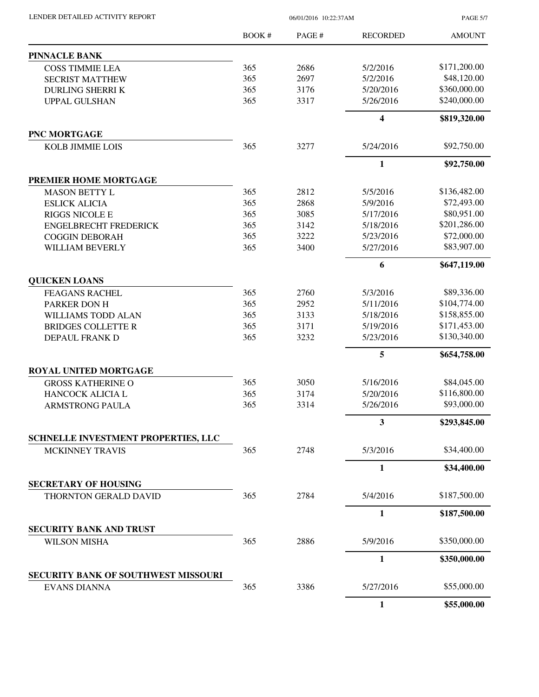| LENDER DETAILED ACTIVITY REPORT |  |
|---------------------------------|--|
|                                 |  |

06/01/2016 10:22:37AM

PAGE 5/7

|                                            | BOOK# | PAGE# | <b>RECORDED</b> | <b>AMOUNT</b> |
|--------------------------------------------|-------|-------|-----------------|---------------|
| <b>PINNACLE BANK</b>                       |       |       |                 |               |
| <b>COSS TIMMIE LEA</b>                     | 365   | 2686  | 5/2/2016        | \$171,200.00  |
| <b>SECRIST MATTHEW</b>                     | 365   | 2697  | 5/2/2016        | \$48,120.00   |
| <b>DURLING SHERRI K</b>                    | 365   | 3176  | 5/20/2016       | \$360,000.00  |
| <b>UPPAL GULSHAN</b>                       | 365   | 3317  | 5/26/2016       | \$240,000.00  |
|                                            |       |       | 4               | \$819,320.00  |
| <b>PNC MORTGAGE</b>                        |       |       |                 |               |
| <b>KOLB JIMMIE LOIS</b>                    | 365   | 3277  | 5/24/2016       | \$92,750.00   |
|                                            |       |       | $\mathbf{1}$    | \$92,750.00   |
| PREMIER HOME MORTGAGE                      |       |       |                 |               |
| <b>MASON BETTY L</b>                       | 365   | 2812  | 5/5/2016        | \$136,482.00  |
| <b>ESLICK ALICIA</b>                       | 365   | 2868  | 5/9/2016        | \$72,493.00   |
| <b>RIGGS NICOLE E</b>                      | 365   | 3085  | 5/17/2016       | \$80,951.00   |
| <b>ENGELBRECHT FREDERICK</b>               | 365   | 3142  | 5/18/2016       | \$201,286.00  |
| <b>COGGIN DEBORAH</b>                      | 365   | 3222  | 5/23/2016       | \$72,000.00   |
| <b>WILLIAM BEVERLY</b>                     | 365   | 3400  | 5/27/2016       | \$83,907.00   |
|                                            |       |       | 6               | \$647,119.00  |
| <b>QUICKEN LOANS</b>                       |       |       |                 |               |
| <b>FEAGANS RACHEL</b>                      | 365   | 2760  | 5/3/2016        | \$89,336.00   |
| PARKER DON H                               | 365   | 2952  | 5/11/2016       | \$104,774.00  |
| WILLIAMS TODD ALAN                         | 365   | 3133  | 5/18/2016       | \$158,855.00  |
| <b>BRIDGES COLLETTE R</b>                  | 365   | 3171  | 5/19/2016       | \$171,453.00  |
| DEPAUL FRANK D                             | 365   | 3232  | 5/23/2016       | \$130,340.00  |
|                                            |       |       | 5               | \$654,758.00  |
| ROYAL UNITED MORTGAGE                      |       |       |                 |               |
| <b>GROSS KATHERINE O</b>                   | 365   | 3050  | 5/16/2016       | \$84,045.00   |
| HANCOCK ALICIA L                           | 365   | 3174  | 5/20/2016       | \$116,800.00  |
| <b>ARMSTRONG PAULA</b>                     | 365   | 3314  | 5/26/2016       | \$93,000.00   |
|                                            |       |       | 3               | \$293,845.00  |
| <b>SCHNELLE INVESTMENT PROPERTIES, LLC</b> |       |       |                 |               |
| <b>MCKINNEY TRAVIS</b>                     | 365   | 2748  | 5/3/2016        | \$34,400.00   |
|                                            |       |       | 1               | \$34,400.00   |
| <b>SECRETARY OF HOUSING</b>                |       |       |                 |               |
| THORNTON GERALD DAVID                      | 365   | 2784  | 5/4/2016        | \$187,500.00  |
|                                            |       |       | $\mathbf{1}$    | \$187,500.00  |
| <b>SECURITY BANK AND TRUST</b>             |       |       |                 |               |
| <b>WILSON MISHA</b>                        | 365   | 2886  | 5/9/2016        | \$350,000.00  |
|                                            |       |       | $\mathbf{1}$    | \$350,000.00  |
| <b>SECURITY BANK OF SOUTHWEST MISSOURI</b> |       |       |                 |               |
| <b>EVANS DIANNA</b>                        | 365   | 3386  | 5/27/2016       | \$55,000.00   |
|                                            |       |       | $\mathbf{1}$    | \$55,000.00   |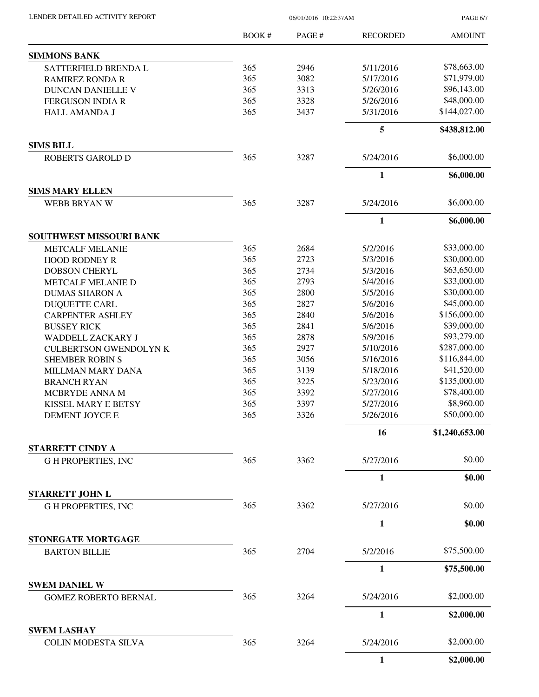PAGE 6/7

|                                                     | <b>BOOK#</b> | PAGE # | <b>RECORDED</b> | <b>AMOUNT</b>  |
|-----------------------------------------------------|--------------|--------|-----------------|----------------|
| <b>SIMMONS BANK</b>                                 |              |        |                 |                |
| SATTERFIELD BRENDA L                                | 365          | 2946   | 5/11/2016       | \$78,663.00    |
| <b>RAMIREZ RONDA R</b>                              | 365          | 3082   | 5/17/2016       | \$71,979.00    |
| <b>DUNCAN DANIELLE V</b>                            | 365          | 3313   | 5/26/2016       | \$96,143.00    |
| <b>FERGUSON INDIA R</b>                             | 365          | 3328   | 5/26/2016       | \$48,000.00    |
| <b>HALL AMANDA J</b>                                | 365          | 3437   | 5/31/2016       | \$144,027.00   |
|                                                     |              |        | 5               | \$438,812.00   |
| <b>SIMS BILL</b>                                    | 365          | 3287   |                 | \$6,000.00     |
| <b>ROBERTS GAROLD D</b>                             |              |        | 5/24/2016       |                |
|                                                     |              |        | 1               | \$6,000.00     |
| <b>SIMS MARY ELLEN</b><br>WEBB BRYAN W              | 365          | 3287   | 5/24/2016       | \$6,000.00     |
|                                                     |              |        | $\mathbf{1}$    | \$6,000.00     |
| SOUTHWEST MISSOURI BANK                             |              |        |                 |                |
| <b>METCALF MELANIE</b>                              | 365          | 2684   | 5/2/2016        | \$33,000.00    |
| <b>HOOD RODNEY R</b>                                | 365          | 2723   | 5/3/2016        | \$30,000.00    |
| <b>DOBSON CHERYL</b>                                | 365          | 2734   | 5/3/2016        | \$63,650.00    |
| METCALF MELANIE D                                   | 365          | 2793   | 5/4/2016        | \$33,000.00    |
| <b>DUMAS SHARON A</b>                               | 365          | 2800   | 5/5/2016        | \$30,000.00    |
| <b>DUQUETTE CARL</b>                                | 365          | 2827   | 5/6/2016        | \$45,000.00    |
| <b>CARPENTER ASHLEY</b>                             | 365          | 2840   | 5/6/2016        | \$156,000.00   |
| <b>BUSSEY RICK</b>                                  | 365          | 2841   | 5/6/2016        | \$39,000.00    |
| WADDELL ZACKARY J                                   | 365          | 2878   | 5/9/2016        | \$93,279.00    |
| <b>CULBERTSON GWENDOLYN K</b>                       | 365          | 2927   | 5/10/2016       | \$287,000.00   |
| <b>SHEMBER ROBIN S</b>                              | 365          | 3056   | 5/16/2016       | \$116,844.00   |
| MILLMAN MARY DANA                                   | 365          | 3139   | 5/18/2016       | \$41,520.00    |
| <b>BRANCH RYAN</b>                                  | 365          | 3225   | 5/23/2016       | \$135,000.00   |
| MCBRYDE ANNA M                                      | 365          | 3392   | 5/27/2016       | \$78,400.00    |
| KISSEL MARY E BETSY                                 | 365          | 3397   | 5/27/2016       | \$8,960.00     |
| DEMENT JOYCE E                                      | 365          | 3326   | 5/26/2016       | \$50,000.00    |
|                                                     |              |        | 16              | \$1,240,653.00 |
| STARRETT CINDY A                                    |              |        |                 |                |
| <b>GH PROPERTIES, INC</b>                           | 365          | 3362   | 5/27/2016       | \$0.00         |
|                                                     |              |        | $\mathbf{1}$    | \$0.00         |
| <b>STARRETT JOHN L</b>                              |              |        |                 |                |
| <b>GH PROPERTIES, INC</b>                           | 365          | 3362   | 5/27/2016       | \$0.00         |
|                                                     |              |        | 1               | \$0.00         |
| STONEGATE MORTGAGE                                  |              |        |                 |                |
| <b>BARTON BILLIE</b>                                | 365          | 2704   | 5/2/2016        | \$75,500.00    |
|                                                     |              |        | $\mathbf{1}$    | \$75,500.00    |
| <b>SWEM DANIEL W</b><br><b>GOMEZ ROBERTO BERNAL</b> | 365          | 3264   | 5/24/2016       | \$2,000.00     |
|                                                     |              |        | 1               | \$2,000.00     |
| <b>SWEM LASHAY</b>                                  |              |        |                 |                |
| <b>COLIN MODESTA SILVA</b>                          | 365          | 3264   | 5/24/2016       | \$2,000.00     |
|                                                     |              |        | $\mathbf{1}$    | \$2,000.00     |